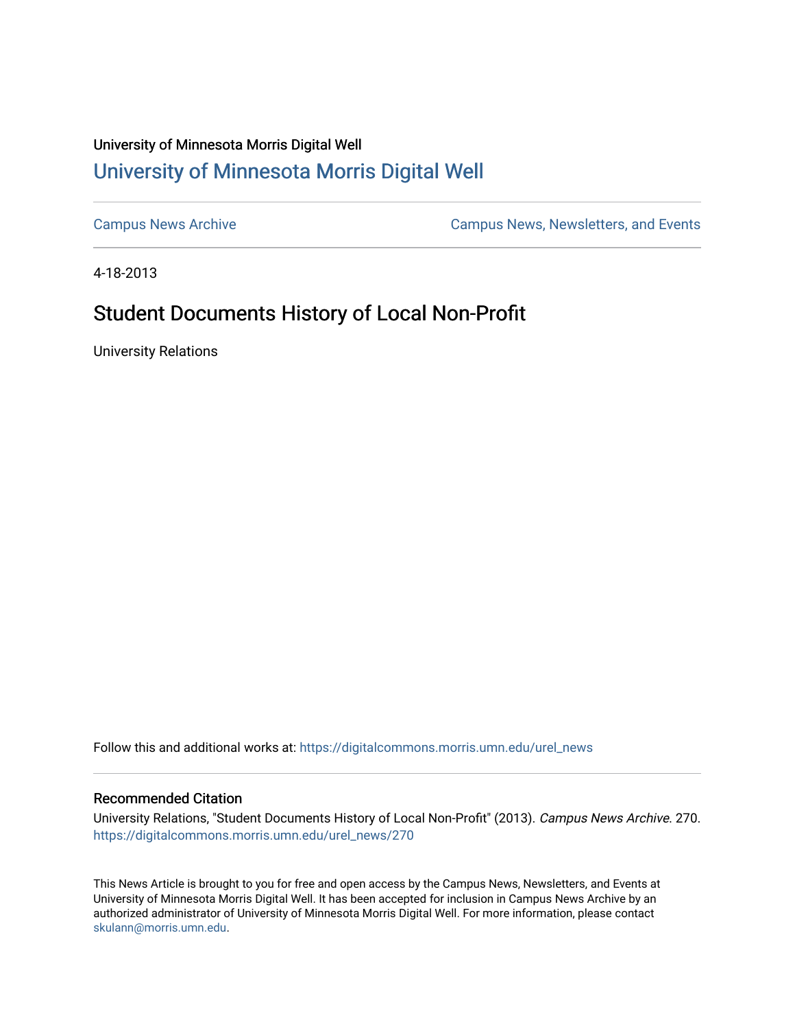## University of Minnesota Morris Digital Well [University of Minnesota Morris Digital Well](https://digitalcommons.morris.umn.edu/)

[Campus News Archive](https://digitalcommons.morris.umn.edu/urel_news) [Campus News, Newsletters, and Events](https://digitalcommons.morris.umn.edu/externalrel) 

4-18-2013

## Student Documents History of Local Non-Profit

University Relations

Follow this and additional works at: [https://digitalcommons.morris.umn.edu/urel\\_news](https://digitalcommons.morris.umn.edu/urel_news?utm_source=digitalcommons.morris.umn.edu%2Furel_news%2F270&utm_medium=PDF&utm_campaign=PDFCoverPages) 

## Recommended Citation

University Relations, "Student Documents History of Local Non-Profit" (2013). Campus News Archive. 270. [https://digitalcommons.morris.umn.edu/urel\\_news/270](https://digitalcommons.morris.umn.edu/urel_news/270?utm_source=digitalcommons.morris.umn.edu%2Furel_news%2F270&utm_medium=PDF&utm_campaign=PDFCoverPages) 

This News Article is brought to you for free and open access by the Campus News, Newsletters, and Events at University of Minnesota Morris Digital Well. It has been accepted for inclusion in Campus News Archive by an authorized administrator of University of Minnesota Morris Digital Well. For more information, please contact [skulann@morris.umn.edu.](mailto:skulann@morris.umn.edu)